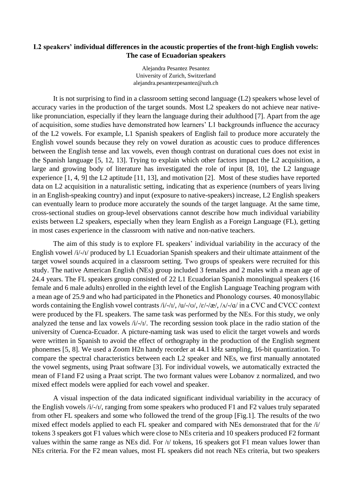## **L2 speakers' individual differences in the acoustic properties of the front-high English vowels: The case of Ecuadorian speakers**

Alejandra Pesantez Pesantez University of Zurich, Switzerland alejandra.pesantezpesantez@uzh.ch

It is not surprising to find in a classroom setting second language (L2) speakers whose level of accuracy varies in the production of the target sounds. Most L2 speakers do not achieve near nativelike pronunciation, especially if they learn the language during their adulthood [7]. Apart from the age of acquisition, some studies have demonstrated how learners' L1 backgrounds influence the accuracy of the L2 vowels. For example, L1 Spanish speakers of English fail to produce more accurately the English vowel sounds because they rely on vowel duration as acoustic cues to produce differences between the English tense and lax vowels, even though contrast on durational cues does not exist in the Spanish language [5, 12, 13]. Trying to explain which other factors impact the L2 acquisition, a large and growing body of literature has investigated the role of input [8, 10], the L2 language experience [1, 4, 9] the L2 aptitude [11, 13], and motivation [2]. Most of these studies have reported data on L2 acquisition in a naturalistic setting, indicating that as experience (numbers of years living in an English-speaking country) and input (exposure to native-speakers) increase, L2 English speakers can eventually learn to produce more accurately the sounds of the target language. At the same time, cross-sectional studies on group-level observations cannot describe how much individual variability exists between L2 speakers, especially when they learn English as a Foreign Language (FL), getting in most cases experience in the classroom with native and non-native teachers.

The aim of this study is to explore FL speakers' individual variability in the accuracy of the English vowel /i/-/ɪ/ produced by L1 Ecuadorian Spanish speakers and their ultimate attainment of the target vowel sounds acquired in a classroom setting. Two groups of speakers were recruited for this study. The native American English (NEs) group included 3 females and 2 males with a mean age of 24.4 years. The FL speakers group consisted of 22 L1 Ecuadorian Spanish monolingual speakers (16 female and 6 male adults) enrolled in the eighth level of the English Language Teaching program with a mean age of 25.9 and who had participated in the Phonetics and Phonology courses. 40 monosyllabic words containing the English vowel contrasts  $/i/-\nu/$ ,  $/u/-\nu/$ ,  $/\varepsilon/-\varepsilon/$ ,  $/\sqrt{a}/\pi$  in a CVC and CVCC context were produced by the FL speakers. The same task was performed by the NEs. For this study, we only analyzed the tense and lax vowels /i/-/ɪ/. The recording session took place in the radio station of the university of Cuenca-Ecuador. A picture-naming task was used to elicit the target vowels and words were written in Spanish to avoid the effect of orthography in the production of the English segment phonemes [5, 8]. We used a Zoom H2n handy recorder at 44.1 kHz sampling, 16-bit quantization. To compare the spectral characteristics between each L2 speaker and NEs, we first manually annotated the vowel segments, using Praat software [3]. For individual vowels, we automatically extracted the mean of F1and F2 using a Praat script. The two formant values were Lobanov z normalized, and two mixed effect models were applied for each vowel and speaker.

A visual inspection of the data indicated significant individual variability in the accuracy of the English vowels /i/-/ɪ/, ranging from some speakers who produced F1 and F2 values truly separated from other FL speakers and some who followed the trend of the group [Fig.1]. The results of the two mixed effect models applied to each FL speaker and compared with NEs demonstrated that for the /i/ tokens 3 speakers got F1 values which were close to NEs criteria and 10 speakers produced F2 formant values within the same range as NEs did. For /ɪ/ tokens, 16 speakers got F1 mean values lower than NEs criteria. For the F2 mean values, most FL speakers did not reach NEs criteria, but two speakers